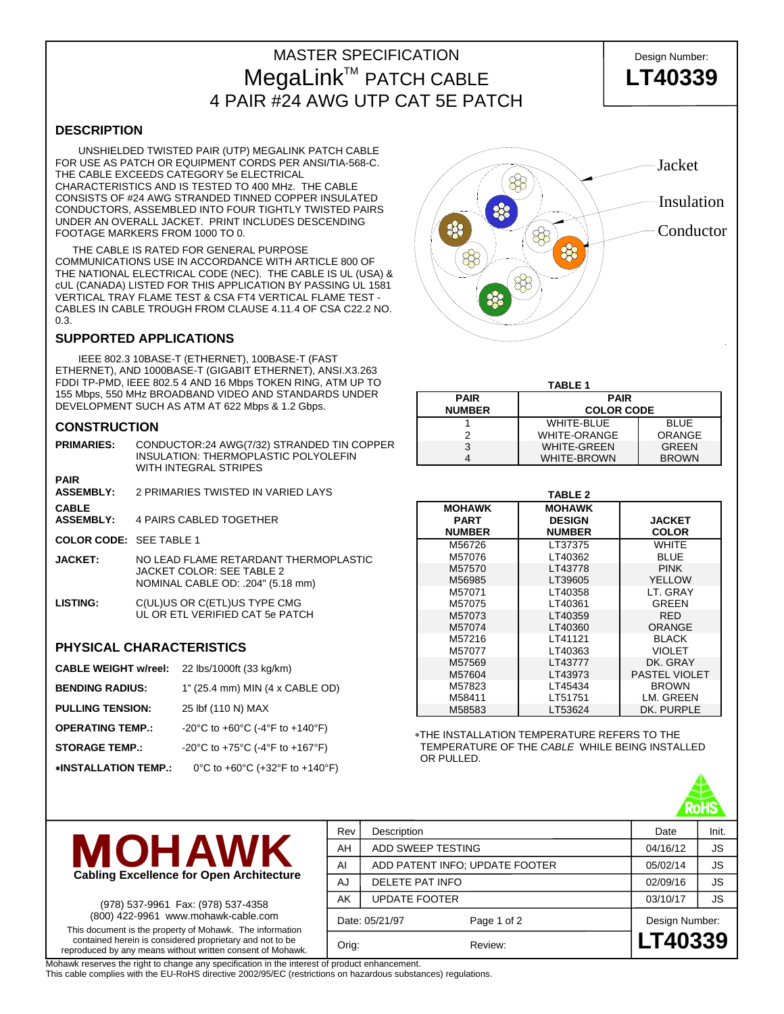## MASTER SPECIFICATION **Design Number:** MegaLinkTM PATCH CABLE **LT40339** 4 PAIR #24 AWG UTP CAT 5E PATCH

**DESCRIPTION**

 UNSHIELDED TWISTED PAIR (UTP) MEGALINK PATCH CABLE FOR USE AS PATCH OR EQUIPMENT CORDS PER ANSI/TIA-568-C. THE CABLE EXCEEDS CATEGORY 5e ELECTRICAL CHARACTERISTICS AND IS TESTED TO 400 MHz. THE CABLE CONSISTS OF #24 AWG STRANDED TINNED COPPER INSULATED CONDUCTORS, ASSEMBLED INTO FOUR TIGHTLY TWISTED PAIRS UNDER AN OVERALL JACKET. PRINT INCLUDES DESCENDING FOOTAGE MARKERS FROM 1000 TO 0.

 THE CABLE IS RATED FOR GENERAL PURPOSE COMMUNICATIONS USE IN ACCORDANCE WITH ARTICLE 800 OF THE NATIONAL ELECTRICAL CODE (NEC). THE CABLE IS UL (USA) & cUL (CANADA) LISTED FOR THIS APPLICATION BY PASSING UL 1581 VERTICAL TRAY FLAME TEST & CSA FT4 VERTICAL FLAME TEST - CABLES IN CABLE TROUGH FROM CLAUSE 4.11.4 OF CSA C22.2 NO. 0.3.

## **SUPPORTED APPLICATIONS**

 IEEE 802.3 10BASE-T (ETHERNET), 100BASE-T (FAST ETHERNET), AND 1000BASE-T (GIGABIT ETHERNET), ANSI.X3.263 FDDI TP-PMD, IEEE 802.5 4 AND 16 Mbps TOKEN RING, ATM UP TO 155 Mbps, 550 MHz BROADBAND VIDEO AND STANDARDS UNDER DEVELOPMENT SUCH AS ATM AT 622 Mbps & 1.2 Gbps.

### **CONSTRUCTION**

| <b>PRIMARIES:</b>                | CONDUCTOR:24 AWG(7/32) STRANDED TIN COPPER<br>INSULATION: THERMOPLASTIC POLYOLEFIN<br>WITH INTEGRAL STRIPES |
|----------------------------------|-------------------------------------------------------------------------------------------------------------|
| <b>PAIR</b><br><b>ASSEMBLY:</b>  | 2 PRIMARIES TWISTED IN VARIED LAYS                                                                          |
| <b>CABLE</b><br><b>ASSEMBLY:</b> | 4 PAIRS CABLED TOGETHER                                                                                     |
| COLOR CODE: SFF TABLE 1          |                                                                                                             |
| <b>JACKET:</b>                   | NO I FAD FLAME RETARDANT THERMOPLASTIC<br>JACKET COLOR: SEE TABLE 2<br>NOMINAL CABLE OD: .204" (5.18 mm)    |
| <b>LISTING:</b>                  | C(UL)US OR C(ETL)US TYPE CMG<br>UL OR ETL VERIFIED CAT 5e PATCH                                             |

## **PHYSICAL CHARACTERISTICS**

| <b>CABLE WEIGHT w/reel:</b> | 22 lbs/1000ft (33 kg/km)        |
|-----------------------------|---------------------------------|
| <b>BENDING RADIUS:</b>      | 1" (25.4 mm) MIN (4 x CABLE OD) |
| <b>PULLING TENSION:</b>     | 25 lbf (110 N) MAX              |
| <b>OPERATING TEMP.:</b>     | -20°C to +60°C (-4°F to +140°F) |
| <b>STORAGE TEMP.:</b>       | -20°C to +75°C (-4°F to +167°F) |
| *INSTALLATION TEMP.:        | 0°C to +60°C (+32°F to +140°F)  |



| <b>TABLE 1</b>             |                     |              |  |  |  |  |
|----------------------------|---------------------|--------------|--|--|--|--|
| <b>PAIR</b><br><b>PAIR</b> |                     |              |  |  |  |  |
| <b>NUMBER</b>              | <b>COLOR CODE</b>   |              |  |  |  |  |
|                            | WHITE-BLUE          | <b>BLUE</b>  |  |  |  |  |
| っ                          | <b>WHITE-ORANGE</b> | ORANGE       |  |  |  |  |
| 3                          | <b>WHITE-GREEN</b>  | <b>GREEN</b> |  |  |  |  |
|                            | <b>WHITE-BROWN</b>  | <b>BROWN</b> |  |  |  |  |

| <b>TABLE 2</b> |               |                      |  |  |  |  |
|----------------|---------------|----------------------|--|--|--|--|
| <b>MOHAWK</b>  | <b>MOHAWK</b> |                      |  |  |  |  |
| <b>PART</b>    | <b>DESIGN</b> | <b>JACKET</b>        |  |  |  |  |
| <b>NUMBER</b>  | <b>NUMBER</b> | <b>COLOR</b>         |  |  |  |  |
| M56726         | LT37375       | WHITE                |  |  |  |  |
| M57076         | LT40362       | <b>BLUE</b>          |  |  |  |  |
| M57570         | LT43778       | <b>PINK</b>          |  |  |  |  |
| M56985         | LT39605       | <b>YELLOW</b>        |  |  |  |  |
| M57071         | LT40358       | LT. GRAY             |  |  |  |  |
| M57075         | LT40361       | GREEN                |  |  |  |  |
| M57073         | LT40359       | <b>RED</b>           |  |  |  |  |
| M57074         | LT40360       | ORANGE               |  |  |  |  |
| M57216         | LT41121       | <b>BLACK</b>         |  |  |  |  |
| M57077         | LT40363       | <b>VIOLET</b>        |  |  |  |  |
| M57569         | LT43777       | DK. GRAY             |  |  |  |  |
| M57604         | LT43973       | <b>PASTEL VIOLET</b> |  |  |  |  |
| M57823         | LT45434       | <b>BROWN</b>         |  |  |  |  |
| M58411         | LT51751       | LM. GREEN            |  |  |  |  |
| M58583         | LT53624       | DK. PURPLE           |  |  |  |  |

∗THE INSTALLATION TEMPERATURE REFERS TO THE TEMPERATURE OF THE *CABLE* WHILE BEING INSTALLED OR PULLED.





(978) 537-9961 Fax: (978) 537-4358 (800) 422-9961 www.mohawk-cable.com This document is the property of Mohawk. The information contained herein is considered proprietary and not to be reproduced by any means without written consent of Mohawk.

| Rev            | Description          | Date                           | Init.          |           |  |
|----------------|----------------------|--------------------------------|----------------|-----------|--|
| AH             | ADD SWEEP TESTING    |                                | 04/16/12       | <b>JS</b> |  |
| AI             |                      | ADD PATENT INFO; UPDATE FOOTER |                |           |  |
| AJ             | DELETE PAT INFO      | 02/09/16                       | JS             |           |  |
| AK             | <b>UPDATE FOOTER</b> | 03/10/17                       | <b>JS</b>      |           |  |
| Date: 05/21/97 |                      | Page 1 of 2                    | Design Number: |           |  |
| Orig:          |                      | Review:                        | LT40339        |           |  |
|                |                      |                                |                |           |  |

Mohawk reserves the right to change any specification in the interest of product enhancement.

This cable complies with the EU-RoHS directive 2002/95/EC (restrictions on hazardous substances) regulations.